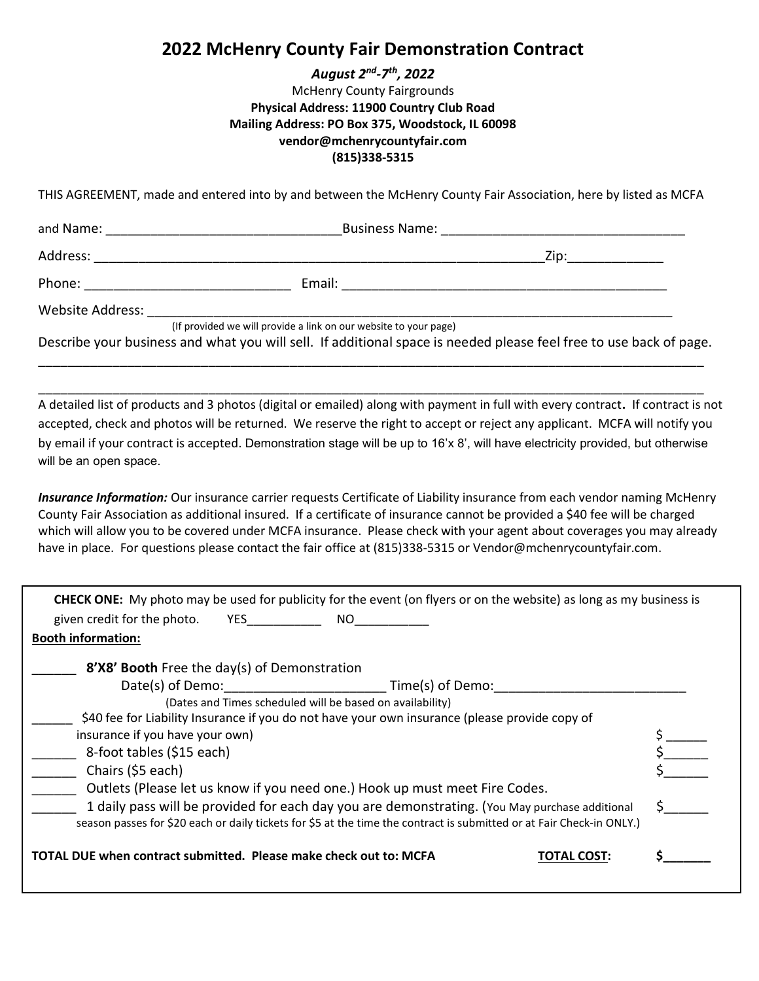### 2022 McHenry County Fair Demonstration Contract

#### August 2nd-7th, 2022

#### McHenry County Fairgrounds Physical Address: 11900 Country Club Road Mailing Address: PO Box 375, Woodstock, IL 60098 vendor@mchenrycountyfair.com (815)338-5315

THIS AGREEMENT, made and entered into by and between the McHenry County Fair Association, here by listed as MCFA

| and Name:                                                        | <b>Business Name:</b> |      |  |
|------------------------------------------------------------------|-----------------------|------|--|
| Address:                                                         |                       | Zip: |  |
| Phone:                                                           | Email:                |      |  |
| Website Address:                                                 |                       |      |  |
| (If provided we will provide a link on our website to your page) |                       |      |  |

Describe your business and what you will sell. If additional space is needed please feel free to use back of page. \_\_\_\_\_\_\_\_\_\_\_\_\_\_\_\_\_\_\_\_\_\_\_\_\_\_\_\_\_\_\_\_\_\_\_\_\_\_\_\_\_\_\_\_\_\_\_\_\_\_\_\_\_\_\_\_\_\_\_\_\_\_\_\_\_\_\_\_\_\_\_\_\_\_\_\_\_\_\_\_\_\_\_\_\_\_\_\_\_\_

\_\_\_\_\_\_\_\_\_\_\_\_\_\_\_\_\_\_\_\_\_\_\_\_\_\_\_\_\_\_\_\_\_\_\_\_\_\_\_\_\_\_\_\_\_\_\_\_\_\_\_\_\_\_\_\_\_\_\_\_\_\_\_\_\_\_\_\_\_\_\_\_\_\_\_\_\_\_\_\_\_\_\_\_\_\_\_\_\_\_

A detailed list of products and 3 photos (digital or emailed) along with payment in full with every contract. If contract is not accepted, check and photos will be returned. We reserve the right to accept or reject any applicant. MCFA will notify you by email if your contract is accepted. Demonstration stage will be up to 16'x 8', will have electricity provided, but otherwise will be an open space.

Insurance Information: Our insurance carrier requests Certificate of Liability insurance from each vendor naming McHenry County Fair Association as additional insured. If a certificate of insurance cannot be provided a \$40 fee will be charged which will allow you to be covered under MCFA insurance. Please check with your agent about coverages you may already have in place. For questions please contact the fair office at (815)338-5315 or Vendor@mchenrycountyfair.com.

| <b>CHECK ONE:</b> My photo may be used for publicity for the event (on flyers or on the website) as long as my business is<br>given credit for the photo.<br>YES _______________<br>NO.                                 |  |  |
|-------------------------------------------------------------------------------------------------------------------------------------------------------------------------------------------------------------------------|--|--|
| <b>Booth information:</b>                                                                                                                                                                                               |  |  |
| 8'X8' Booth Free the day(s) of Demonstration                                                                                                                                                                            |  |  |
|                                                                                                                                                                                                                         |  |  |
| (Dates and Times scheduled will be based on availability)                                                                                                                                                               |  |  |
| \$40 fee for Liability Insurance if you do not have your own insurance (please provide copy of                                                                                                                          |  |  |
| insurance if you have your own)                                                                                                                                                                                         |  |  |
| 8-foot tables (\$15 each)                                                                                                                                                                                               |  |  |
| Chairs (\$5 each)                                                                                                                                                                                                       |  |  |
| Outlets (Please let us know if you need one.) Hook up must meet Fire Codes.                                                                                                                                             |  |  |
| 1 daily pass will be provided for each day you are demonstrating. (You May purchase additional<br>season passes for \$20 each or daily tickets for \$5 at the time the contract is submitted or at Fair Check-in ONLY.) |  |  |
| TOTAL DUE when contract submitted. Please make check out to: MCFA<br>TOTAL COST                                                                                                                                         |  |  |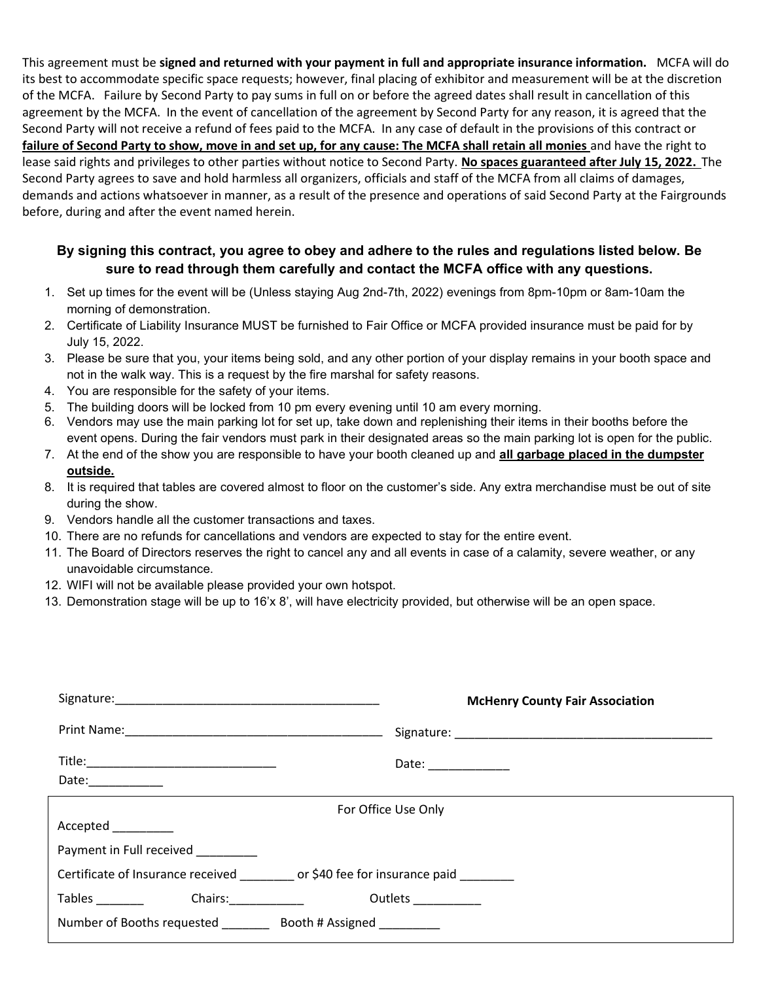This agreement must be signed and returned with your payment in full and appropriate insurance information. MCFA will do its best to accommodate specific space requests; however, final placing of exhibitor and measurement will be at the discretion of the MCFA. Failure by Second Party to pay sums in full on or before the agreed dates shall result in cancellation of this agreement by the MCFA. In the event of cancellation of the agreement by Second Party for any reason, it is agreed that the Second Party will not receive a refund of fees paid to the MCFA. In any case of default in the provisions of this contract or failure of Second Party to show, move in and set up, for any cause: The MCFA shall retain all monies and have the right to lease said rights and privileges to other parties without notice to Second Party. No spaces guaranteed after July 15, 2022. The Second Party agrees to save and hold harmless all organizers, officials and staff of the MCFA from all claims of damages, demands and actions whatsoever in manner, as a result of the presence and operations of said Second Party at the Fairgrounds before, during and after the event named herein.

#### By signing this contract, you agree to obey and adhere to the rules and regulations listed below. Be sure to read through them carefully and contact the MCFA office with any questions.

- 1. Set up times for the event will be (Unless staying Aug 2nd-7th, 2022) evenings from 8pm-10pm or 8am-10am the morning of demonstration.
- 2. Certificate of Liability Insurance MUST be furnished to Fair Office or MCFA provided insurance must be paid for by July 15, 2022.
- 3. Please be sure that you, your items being sold, and any other portion of your display remains in your booth space and not in the walk way. This is a request by the fire marshal for safety reasons.
- 4. You are responsible for the safety of your items.
- 5. The building doors will be locked from 10 pm every evening until 10 am every morning.
- 6. Vendors may use the main parking lot for set up, take down and replenishing their items in their booths before the event opens. During the fair vendors must park in their designated areas so the main parking lot is open for the public.
- 7. At the end of the show you are responsible to have your booth cleaned up and all garbage placed in the dumpster outside.
- 8. It is required that tables are covered almost to floor on the customer's side. Any extra merchandise must be out of site during the show.
- 9. Vendors handle all the customer transactions and taxes.
- 10. There are no refunds for cancellations and vendors are expected to stay for the entire event.
- 11. The Board of Directors reserves the right to cancel any and all events in case of a calamity, severe weather, or any unavoidable circumstance.
- 12. WIFI will not be available please provided your own hotspot.
- 13. Demonstration stage will be up to 16'x 8', will have electricity provided, but otherwise will be an open space.

|                                                                                            | <b>McHenry County Fair Association</b> |  |  |  |
|--------------------------------------------------------------------------------------------|----------------------------------------|--|--|--|
|                                                                                            |                                        |  |  |  |
| Date:____________                                                                          | Date: _____________                    |  |  |  |
|                                                                                            | For Office Use Only                    |  |  |  |
| Accepted _________                                                                         |                                        |  |  |  |
| Payment in Full received                                                                   |                                        |  |  |  |
|                                                                                            |                                        |  |  |  |
| <b>Tables</b><br>Chairs: The Chairs of the Chairs of the Chairs of the Chairs of the Chair | Outlets <b>CONTENT</b>                 |  |  |  |
| Number of Booths requested __________ Booth # Assigned __________                          |                                        |  |  |  |